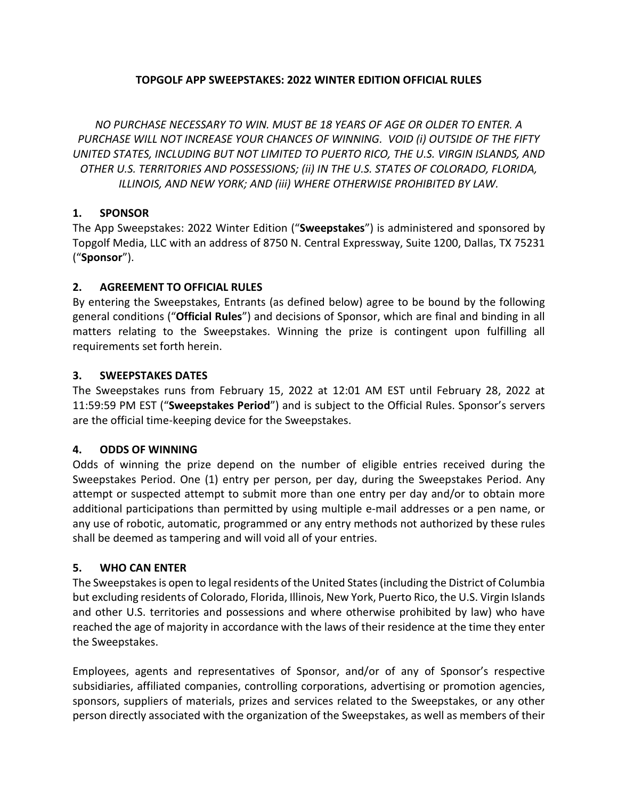#### **TOPGOLF APP SWEEPSTAKES: 2022 WINTER EDITION OFFICIAL RULES**

*NO PURCHASE NECESSARY TO WIN. MUST BE 18 YEARS OF AGE OR OLDER TO ENTER. A PURCHASE WILL NOT INCREASE YOUR CHANCES OF WINNING. VOID (i) OUTSIDE OF THE FIFTY UNITED STATES, INCLUDING BUT NOT LIMITED TO PUERTO RICO, THE U.S. VIRGIN ISLANDS, AND OTHER U.S. TERRITORIES AND POSSESSIONS; (ii) IN THE U.S. STATES OF COLORADO, FLORIDA, ILLINOIS, AND NEW YORK; AND (iii) WHERE OTHERWISE PROHIBITED BY LAW.*

### **1. SPONSOR**

The App Sweepstakes: 2022 Winter Edition ("**Sweepstakes**") is administered and sponsored by Topgolf Media, LLC with an address of 8750 N. Central Expressway, Suite 1200, Dallas, TX 75231 ("**Sponsor**").

### **2. AGREEMENT TO OFFICIAL RULES**

By entering the Sweepstakes, Entrants (as defined below) agree to be bound by the following general conditions ("**Official Rules**") and decisions of Sponsor, which are final and binding in all matters relating to the Sweepstakes. Winning the prize is contingent upon fulfilling all requirements set forth herein.

### **3. SWEEPSTAKES DATES**

The Sweepstakes runs from February 15, 2022 at 12:01 AM EST until February 28, 2022 at 11:59:59 PM EST ("**Sweepstakes Period**") and is subject to the Official Rules. Sponsor's servers are the official time-keeping device for the Sweepstakes.

### **4. ODDS OF WINNING**

Odds of winning the prize depend on the number of eligible entries received during the Sweepstakes Period. One (1) entry per person, per day, during the Sweepstakes Period. Any attempt or suspected attempt to submit more than one entry per day and/or to obtain more additional participations than permitted by using multiple e-mail addresses or a pen name, or any use of robotic, automatic, programmed or any entry methods not authorized by these rules shall be deemed as tampering and will void all of your entries.

# **5. WHO CAN ENTER**

The Sweepstakes is open to legal residents of the United States (including the District of Columbia but excluding residents of Colorado, Florida, Illinois, New York, Puerto Rico, the U.S. Virgin Islands and other U.S. territories and possessions and where otherwise prohibited by law) who have reached the age of majority in accordance with the laws of their residence at the time they enter the Sweepstakes.

Employees, agents and representatives of Sponsor, and/or of any of Sponsor's respective subsidiaries, affiliated companies, controlling corporations, advertising or promotion agencies, sponsors, suppliers of materials, prizes and services related to the Sweepstakes, or any other person directly associated with the organization of the Sweepstakes, as well as members of their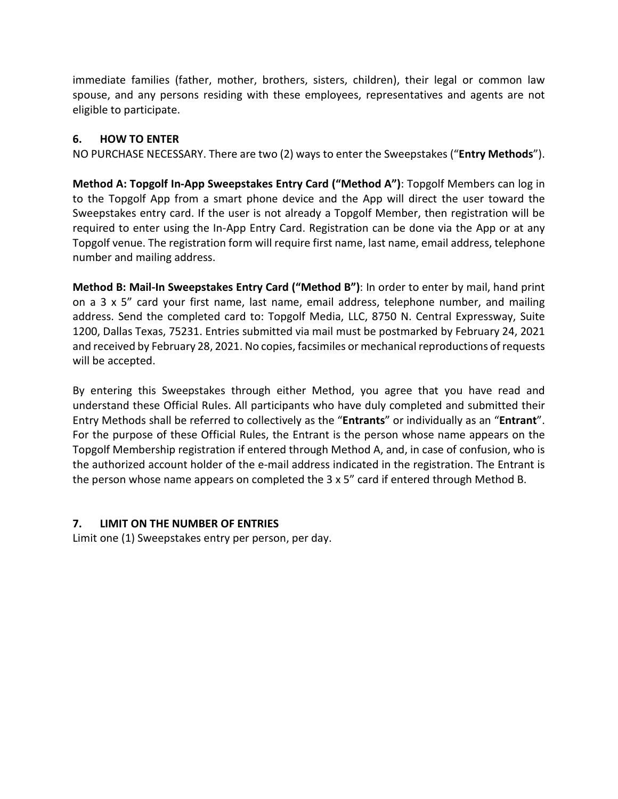immediate families (father, mother, brothers, sisters, children), their legal or common law spouse, and any persons residing with these employees, representatives and agents are not eligible to participate.

## **6. HOW TO ENTER**

NO PURCHASE NECESSARY. There are two (2) ways to enter the Sweepstakes ("**Entry Methods**").

**Method A: Topgolf In-App Sweepstakes Entry Card ("Method A")**: Topgolf Members can log in to the Topgolf App from a smart phone device and the App will direct the user toward the Sweepstakes entry card. If the user is not already a Topgolf Member, then registration will be required to enter using the In-App Entry Card. Registration can be done via the App or at any Topgolf venue. The registration form will require first name, last name, email address, telephone number and mailing address.

**Method B: Mail-In Sweepstakes Entry Card ("Method B")**: In order to enter by mail, hand print on a 3 x 5" card your first name, last name, email address, telephone number, and mailing address. Send the completed card to: Topgolf Media, LLC, 8750 N. Central Expressway, Suite 1200, Dallas Texas, 75231. Entries submitted via mail must be postmarked by February 24, 2021 and received by February 28, 2021. No copies, facsimiles or mechanical reproductions of requests will be accepted.

By entering this Sweepstakes through either Method, you agree that you have read and understand these Official Rules. All participants who have duly completed and submitted their Entry Methods shall be referred to collectively as the "**Entrants**" or individually as an "**Entrant**". For the purpose of these Official Rules, the Entrant is the person whose name appears on the Topgolf Membership registration if entered through Method A, and, in case of confusion, who is the authorized account holder of the e-mail address indicated in the registration. The Entrant is the person whose name appears on completed the 3 x 5" card if entered through Method B.

### **7. LIMIT ON THE NUMBER OF ENTRIES**

Limit one (1) Sweepstakes entry per person, per day.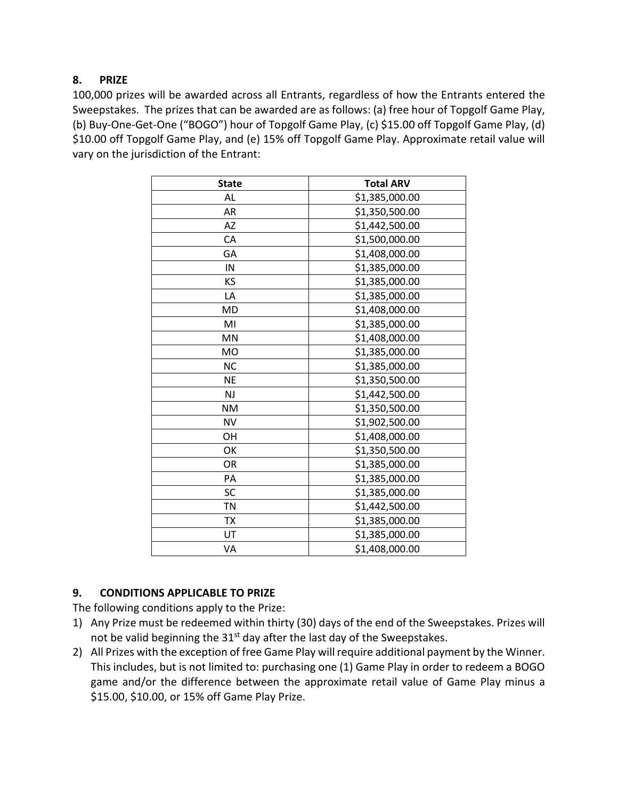## **8. PRIZE**

100,000 prizes will be awarded across all Entrants, regardless of how the Entrants entered the Sweepstakes. The prizes that can be awarded are as follows: (a) free hour of Topgolf Game Play, (b) Buy-One-Get-One ("BOGO") hour of Topgolf Game Play, (c) \$15.00 off Topgolf Game Play, (d) \$10.00 off Topgolf Game Play, and (e) 15% off Topgolf Game Play. Approximate retail value will vary on the jurisdiction of the Entrant:

| <b>State</b>   | <b>Total ARV</b> |
|----------------|------------------|
| AL             | \$1,385,000.00   |
| AR             | \$1,350,500.00   |
| AZ             | \$1,442,500.00   |
| CA             | \$1,500,000.00   |
| GA             | \$1,408,000.00   |
| IN             | \$1,385,000.00   |
| KS             | \$1,385,000.00   |
| LA             | \$1,385,000.00   |
| MD             | \$1,408,000.00   |
| MI             | \$1,385,000.00   |
| MN             | \$1,408,000.00   |
| M <sub>O</sub> | \$1,385,000.00   |
| <b>NC</b>      | \$1,385,000.00   |
| <b>NE</b>      | \$1,350,500.00   |
| <b>NJ</b>      | \$1,442,500.00   |
| <b>NM</b>      | \$1,350,500.00   |
| <b>NV</b>      | \$1,902,500.00   |
| OН             | \$1,408,000.00   |
| OK             | \$1,350,500.00   |
| OR             | \$1,385,000.00   |
| PA             | \$1,385,000.00   |
| SC             | \$1,385,000.00   |
| <b>TN</b>      | \$1,442,500.00   |
| TX             | \$1,385,000.00   |
| UT             | \$1,385,000.00   |
| VA             | \$1,408,000.00   |

# **9. CONDITIONS APPLICABLE TO PRIZE**

The following conditions apply to the Prize:

- 1) Any Prize must be redeemed within thirty (30) days of the end of the Sweepstakes. Prizes will not be valid beginning the  $31<sup>st</sup>$  day after the last day of the Sweepstakes.
- 2) All Prizes with the exception of free Game Play will require additional payment by the Winner. This includes, but is not limited to: purchasing one (1) Game Play in order to redeem a BOGO game and/or the difference between the approximate retail value of Game Play minus a \$15.00, \$10.00, or 15% off Game Play Prize.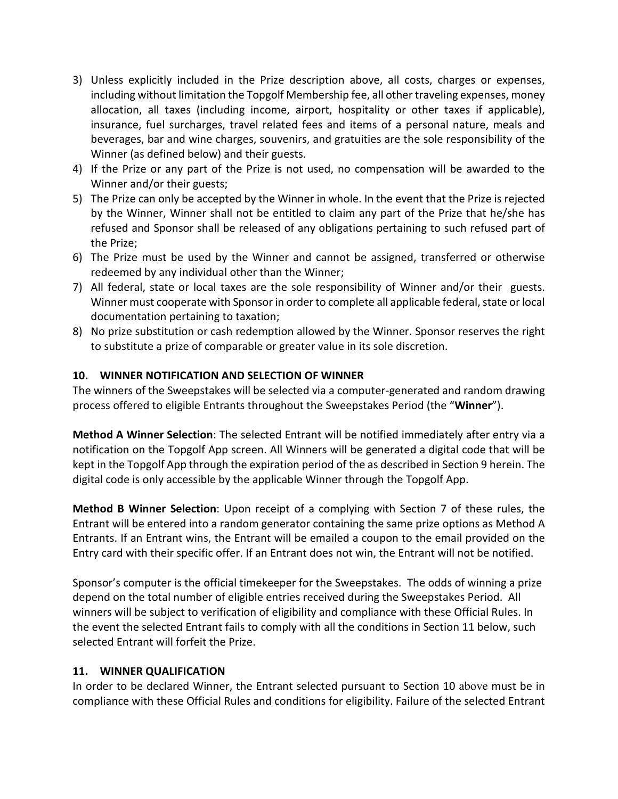- 3) Unless explicitly included in the Prize description above, all costs, charges or expenses, including without limitation the Topgolf Membership fee, all other traveling expenses, money allocation, all taxes (including income, airport, hospitality or other taxes if applicable), insurance, fuel surcharges, travel related fees and items of a personal nature, meals and beverages, bar and wine charges, souvenirs, and gratuities are the sole responsibility of the Winner (as defined below) and their guests.
- 4) If the Prize or any part of the Prize is not used, no compensation will be awarded to the Winner and/or their guests;
- 5) The Prize can only be accepted by the Winner in whole. In the event that the Prize is rejected by the Winner, Winner shall not be entitled to claim any part of the Prize that he/she has refused and Sponsor shall be released of any obligations pertaining to such refused part of the Prize;
- 6) The Prize must be used by the Winner and cannot be assigned, transferred or otherwise redeemed by any individual other than the Winner;
- 7) All federal, state or local taxes are the sole responsibility of Winner and/or their guests. Winner must cooperate with Sponsor in order to complete all applicable federal, state or local documentation pertaining to taxation;
- 8) No prize substitution or cash redemption allowed by the Winner. Sponsor reserves the right to substitute a prize of comparable or greater value in its sole discretion.

### <span id="page-3-1"></span>**10. WINNER NOTIFICATION AND SELECTION OF WINNER**

The winners of the Sweepstakes will be selected via a computer-generated and random drawing process offered to eligible Entrants throughout the Sweepstakes Period (the "**Winner**").

**Method A Winner Selection**: The selected Entrant will be notified immediately after entry via a notification on the Topgolf App screen. All Winners will be generated a digital code that will be kept in the Topgolf App through the expiration period of the as described in Section 9 herein. The digital code is only accessible by the applicable Winner through the Topgolf App.

**Method B Winner Selection**: Upon receipt of a complying with Section 7 of these rules, the Entrant will be entered into a random generator containing the same prize options as Method A Entrants. If an Entrant wins, the Entrant will be emailed a coupon to the email provided on the Entry card with their specific offer. If an Entrant does not win, the Entrant will not be notified.

Sponsor's computer is the official timekeeper for the Sweepstakes. The odds of winning a prize depend on the total number of eligible entries received during the Sweepstakes Period. All winners will be subject to verification of eligibility and compliance with these Official Rules. In the event the selected Entrant fails to comply with all the conditions in Section [11](#page-3-0) below, such selected Entrant will forfeit the Prize.

### <span id="page-3-0"></span>**11. WINNER QUALIFICATION**

In order to be declared Winner, the Entrant selected pursuant to Section [10](#page-3-1) above must be in compliance with these Official Rules and conditions for eligibility. Failure of the selected Entrant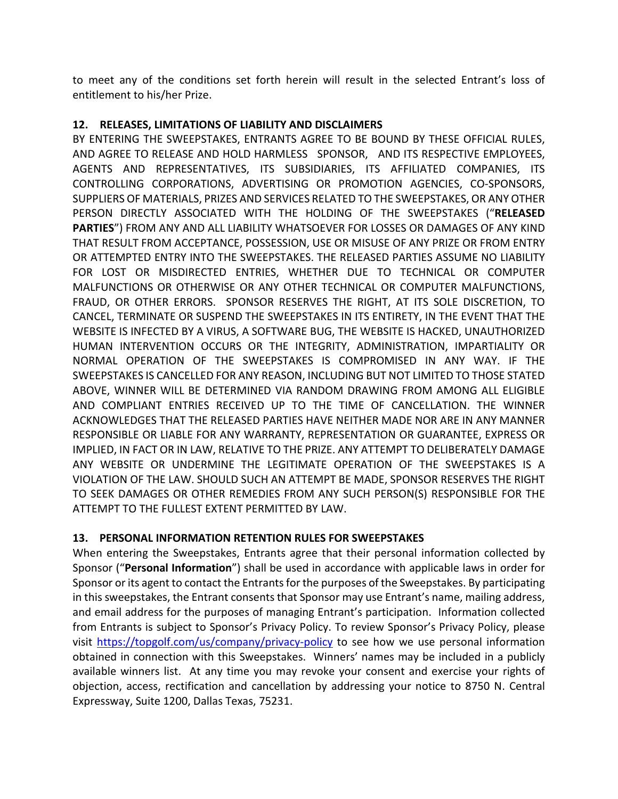to meet any of the conditions set forth herein will result in the selected Entrant's loss of entitlement to his/her Prize.

# **12. RELEASES, LIMITATIONS OF LIABILITY AND DISCLAIMERS**

BY ENTERING THE SWEEPSTAKES, ENTRANTS AGREE TO BE BOUND BY THESE OFFICIAL RULES, AND AGREE TO RELEASE AND HOLD HARMLESS SPONSOR, AND ITS RESPECTIVE EMPLOYEES, AGENTS AND REPRESENTATIVES, ITS SUBSIDIARIES, ITS AFFILIATED COMPANIES, ITS CONTROLLING CORPORATIONS, ADVERTISING OR PROMOTION AGENCIES, CO-SPONSORS, SUPPLIERS OF MATERIALS, PRIZES AND SERVICES RELATED TO THE SWEEPSTAKES, OR ANY OTHER PERSON DIRECTLY ASSOCIATED WITH THE HOLDING OF THE SWEEPSTAKES ("**RELEASED PARTIES**") FROM ANY AND ALL LIABILITY WHATSOEVER FOR LOSSES OR DAMAGES OF ANY KIND THAT RESULT FROM ACCEPTANCE, POSSESSION, USE OR MISUSE OF ANY PRIZE OR FROM ENTRY OR ATTEMPTED ENTRY INTO THE SWEEPSTAKES. THE RELEASED PARTIES ASSUME NO LIABILITY FOR LOST OR MISDIRECTED ENTRIES, WHETHER DUE TO TECHNICAL OR COMPUTER MALFUNCTIONS OR OTHERWISE OR ANY OTHER TECHNICAL OR COMPUTER MALFUNCTIONS, FRAUD, OR OTHER ERRORS. SPONSOR RESERVES THE RIGHT, AT ITS SOLE DISCRETION, TO CANCEL, TERMINATE OR SUSPEND THE SWEEPSTAKES IN ITS ENTIRETY, IN THE EVENT THAT THE WEBSITE IS INFECTED BY A VIRUS, A SOFTWARE BUG, THE WEBSITE IS HACKED, UNAUTHORIZED HUMAN INTERVENTION OCCURS OR THE INTEGRITY, ADMINISTRATION, IMPARTIALITY OR NORMAL OPERATION OF THE SWEEPSTAKES IS COMPROMISED IN ANY WAY. IF THE SWEEPSTAKES IS CANCELLED FOR ANY REASON, INCLUDING BUT NOT LIMITED TO THOSE STATED ABOVE, WINNER WILL BE DETERMINED VIA RANDOM DRAWING FROM AMONG ALL ELIGIBLE AND COMPLIANT ENTRIES RECEIVED UP TO THE TIME OF CANCELLATION. THE WINNER ACKNOWLEDGES THAT THE RELEASED PARTIES HAVE NEITHER MADE NOR ARE IN ANY MANNER RESPONSIBLE OR LIABLE FOR ANY WARRANTY, REPRESENTATION OR GUARANTEE, EXPRESS OR IMPLIED, IN FACT OR IN LAW, RELATIVE TO THE PRIZE. ANY ATTEMPT TO DELIBERATELY DAMAGE ANY WEBSITE OR UNDERMINE THE LEGITIMATE OPERATION OF THE SWEEPSTAKES IS A VIOLATION OF THE LAW. SHOULD SUCH AN ATTEMPT BE MADE, SPONSOR RESERVES THE RIGHT TO SEEK DAMAGES OR OTHER REMEDIES FROM ANY SUCH PERSON(S) RESPONSIBLE FOR THE ATTEMPT TO THE FULLEST EXTENT PERMITTED BY LAW.

### **13. PERSONAL INFORMATION RETENTION RULES FOR SWEEPSTAKES**

When entering the Sweepstakes, Entrants agree that their personal information collected by Sponsor ("**Personal Information**") shall be used in accordance with applicable laws in order for Sponsor or its agent to contact the Entrants for the purposes of the Sweepstakes. By participating in this sweepstakes, the Entrant consents that Sponsor may use Entrant's name, mailing address, and email address for the purposes of managing Entrant's participation. Information collected from Entrants is subject to Sponsor's Privacy Policy. To review Sponsor's Privacy Policy, please visit<https://topgolf.com/us/company/privacy-policy> to see how we use personal information obtained in connection with this Sweepstakes. Winners' names may be included in a publicly available winners list. At any time you may revoke your consent and exercise your rights of objection, access, rectification and cancellation by addressing your notice to 8750 N. Central Expressway, Suite 1200, Dallas Texas, 75231.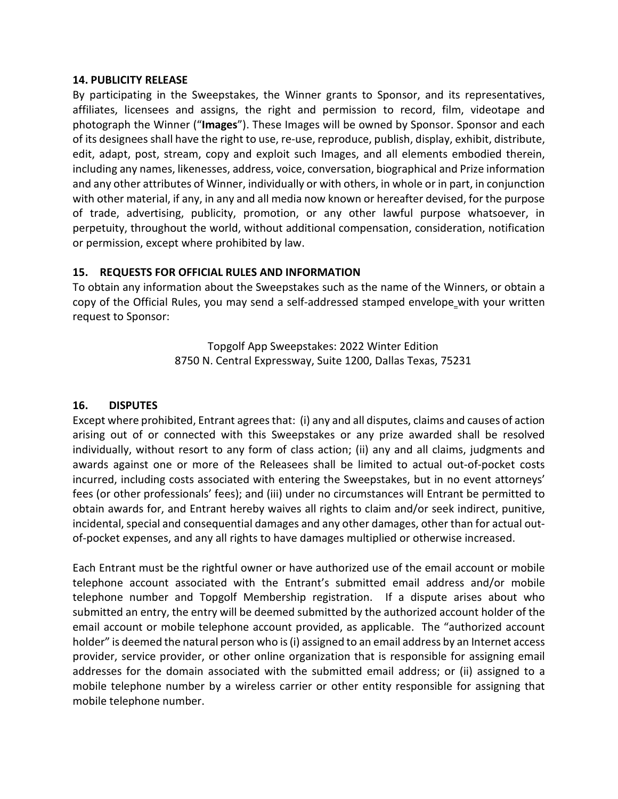#### **14. PUBLICITY RELEASE**

By participating in the Sweepstakes, the Winner grants to Sponsor, and its representatives, affiliates, licensees and assigns, the right and permission to record, film, videotape and photograph the Winner ("**Images**"). These Images will be owned by Sponsor. Sponsor and each of its designees shall have the right to use, re-use, reproduce, publish, display, exhibit, distribute, edit, adapt, post, stream, copy and exploit such Images, and all elements embodied therein, including any names, likenesses, address, voice, conversation, biographical and Prize information and any other attributes of Winner, individually or with others, in whole or in part, in conjunction with other material, if any, in any and all media now known or hereafter devised, for the purpose of trade, advertising, publicity, promotion, or any other lawful purpose whatsoever, in perpetuity, throughout the world, without additional compensation, consideration, notification or permission, except where prohibited by law.

#### **15. REQUESTS FOR OFFICIAL RULES AND INFORMATION**

To obtain any information about the Sweepstakes such as the name of the Winners, or obtain a copy of the Official Rules, you may send a self-addressed stamped envelope with your written request to Sponsor:

> Topgolf App Sweepstakes: 2022 Winter Edition 8750 N. Central Expressway, Suite 1200, Dallas Texas, 75231

### **16. DISPUTES**

Except where prohibited, Entrant agrees that: (i) any and all disputes, claims and causes of action arising out of or connected with this Sweepstakes or any prize awarded shall be resolved individually, without resort to any form of class action; (ii) any and all claims, judgments and awards against one or more of the Releasees shall be limited to actual out-of-pocket costs incurred, including costs associated with entering the Sweepstakes, but in no event attorneys' fees (or other professionals' fees); and (iii) under no circumstances will Entrant be permitted to obtain awards for, and Entrant hereby waives all rights to claim and/or seek indirect, punitive, incidental, special and consequential damages and any other damages, other than for actual outof-pocket expenses, and any all rights to have damages multiplied or otherwise increased.

Each Entrant must be the rightful owner or have authorized use of the email account or mobile telephone account associated with the Entrant's submitted email address and/or mobile telephone number and Topgolf Membership registration. If a dispute arises about who submitted an entry, the entry will be deemed submitted by the authorized account holder of the email account or mobile telephone account provided, as applicable. The "authorized account holder" is deemed the natural person who is (i) assigned to an email address by an Internet access provider, service provider, or other online organization that is responsible for assigning email addresses for the domain associated with the submitted email address; or (ii) assigned to a mobile telephone number by a wireless carrier or other entity responsible for assigning that mobile telephone number.